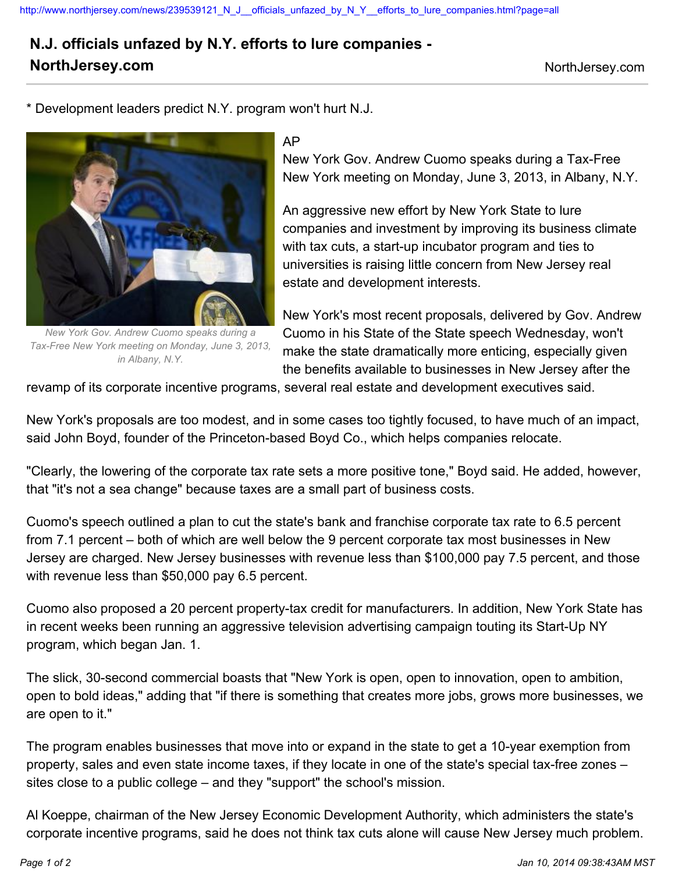## **N.J. officials unfazed by N.Y. efforts to lure companies - NorthJersey.com** NorthJersey.com

\* Development leaders predict N.Y. program won't hurt N.J.



*New York Gov. Andrew Cuomo speaks during a Tax-Free New York meeting on Monday, June 3, 2013, in Albany, N.Y.*

## AP

New York Gov. Andrew Cuomo speaks during a Tax-Free New York meeting on Monday, June 3, 2013, in Albany, N.Y.

An aggressive new effort by New York State to lure companies and investment by improving its business climate with tax cuts, a start-up incubator program and ties to universities is raising little concern from New Jersey real estate and development interests.

New York's most recent proposals, delivered by Gov. Andrew Cuomo in his State of the State speech Wednesday, won't make the state dramatically more enticing, especially given the benefits available to businesses in New Jersey after the

revamp of its corporate incentive programs, several real estate and development executives said.

New York's proposals are too modest, and in some cases too tightly focused, to have much of an impact, said John Boyd, founder of the Princeton-based Boyd Co., which helps companies relocate.

"Clearly, the lowering of the corporate tax rate sets a more positive tone," Boyd said. He added, however, that "it's not a sea change" because taxes are a small part of business costs.

Cuomo's speech outlined a plan to cut the state's bank and franchise corporate tax rate to 6.5 percent from 7.1 percent – both of which are well below the 9 percent corporate tax most businesses in New Jersey are charged. New Jersey businesses with revenue less than \$100,000 pay 7.5 percent, and those with revenue less than \$50,000 pay 6.5 percent.

Cuomo also proposed a 20 percent property-tax credit for manufacturers. In addition, New York State has in recent weeks been running an aggressive television advertising campaign touting its Start-Up NY program, which began Jan. 1.

The slick, 30-second commercial boasts that "New York is open, open to innovation, open to ambition, open to bold ideas," adding that "if there is something that creates more jobs, grows more businesses, we are open to it."

The program enables businesses that move into or expand in the state to get a 10-year exemption from property, sales and even state income taxes, if they locate in one of the state's special tax-free zones – sites close to a public college – and they "support" the school's mission.

Al Koeppe, chairman of the New Jersey Economic Development Authority, which administers the state's corporate incentive programs, said he does not think tax cuts alone will cause New Jersey much problem.